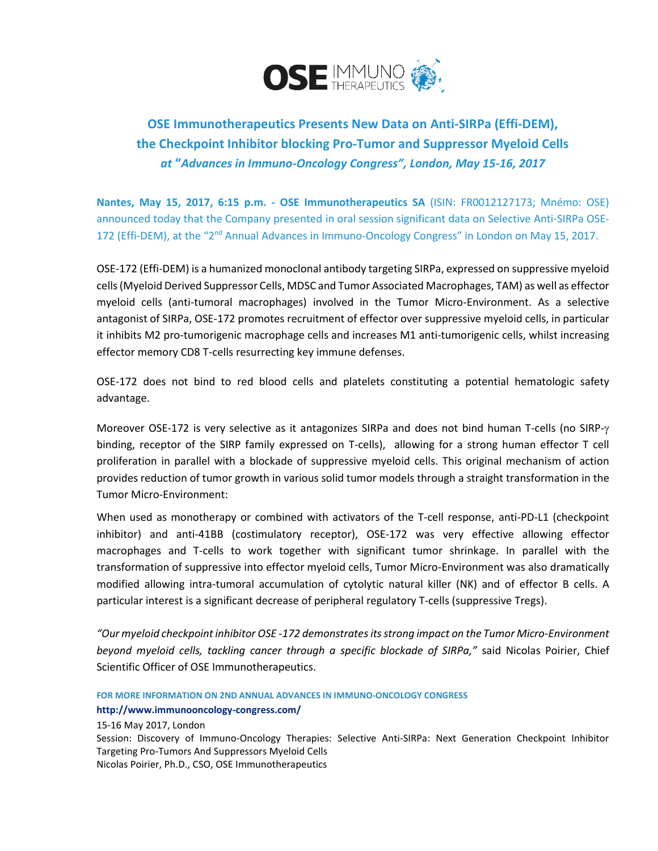

## **OSE Immunotherapeutics Presents New Data on Anti-SIRPa (Effi-DEM), the Checkpoint Inhibitor blocking Pro-Tumor and Suppressor Myeloid Cells** *at* **"***Advances in Immuno-Oncology Congress", London, May 15-16, 2017*

**Nantes, May 15, 2017, 6:15 p.m. - OSE Immunotherapeutics SA** (ISIN: FR0012127173; Mnémo: OSE) announced today that the Company presented in oral session significant data on Selective Anti-SIRPa OSE-172 (Effi-DEM), at the "2<sup>nd</sup> Annual Advances in Immuno-Oncology Congress" in London on May 15, 2017.

OSE-172 (Effi-DEM) is a humanized monoclonal antibody targeting SIRPa, expressed on suppressive myeloid cells (Myeloid Derived Suppressor Cells, MDSC and Tumor Associated Macrophages, TAM) as well as effector myeloid cells (anti-tumoral macrophages) involved in the Tumor Micro-Environment. As a selective antagonist of SIRPa, OSE-172 promotes recruitment of effector over suppressive myeloid cells, in particular it inhibits M2 pro-tumorigenic macrophage cells and increases M1 anti-tumorigenic cells, whilst increasing effector memory CD8 T-cells resurrecting key immune defenses.

OSE-172 does not bind to red blood cells and platelets constituting a potential hematologic safety advantage.

Moreover OSE-172 is very selective as it antagonizes SIRPa and does not bind human T-cells (no SIRP- $\gamma$ binding, receptor of the SIRP family expressed on T-cells), allowing for a strong human effector T cell proliferation in parallel with a blockade of suppressive myeloid cells. This original mechanism of action provides reduction of tumor growth in various solid tumor models through a straight transformation in the Tumor Micro-Environment:

When used as monotherapy or combined with activators of the T-cell response, anti-PD-L1 (checkpoint inhibitor) and anti-41BB (costimulatory receptor), OSE-172 was very effective allowing effector macrophages and T-cells to work together with significant tumor shrinkage. In parallel with the transformation of suppressive into effector myeloid cells, Tumor Micro-Environment was also dramatically modified allowing intra-tumoral accumulation of cytolytic natural killer (NK) and of effector B cells. A particular interest is a significant decrease of peripheral regulatory T-cells (suppressive Tregs).

*"Our myeloid checkpoint inhibitor OSE -172 demonstrates itsstrong impact on the Tumor Micro-Environment beyond myeloid cells, tackling cancer through a specific blockade of SIRPa,"* said Nicolas Poirier, Chief Scientific Officer of OSE Immunotherapeutics.

**FOR MORE INFORMATION ON 2ND ANNUAL ADVANCES IN IMMUNO-ONCOLOGY CONGRESS <http://www.immunooncology-congress.com/>**

15-16 May 2017, London

Session: Discovery of Immuno-Oncology Therapies: Selective Anti-SIRPa: Next Generation Checkpoint Inhibitor Targeting Pro-Tumors And Suppressors Myeloid Cells Nicolas Poirier, Ph.D., CSO, OSE Immunotherapeutics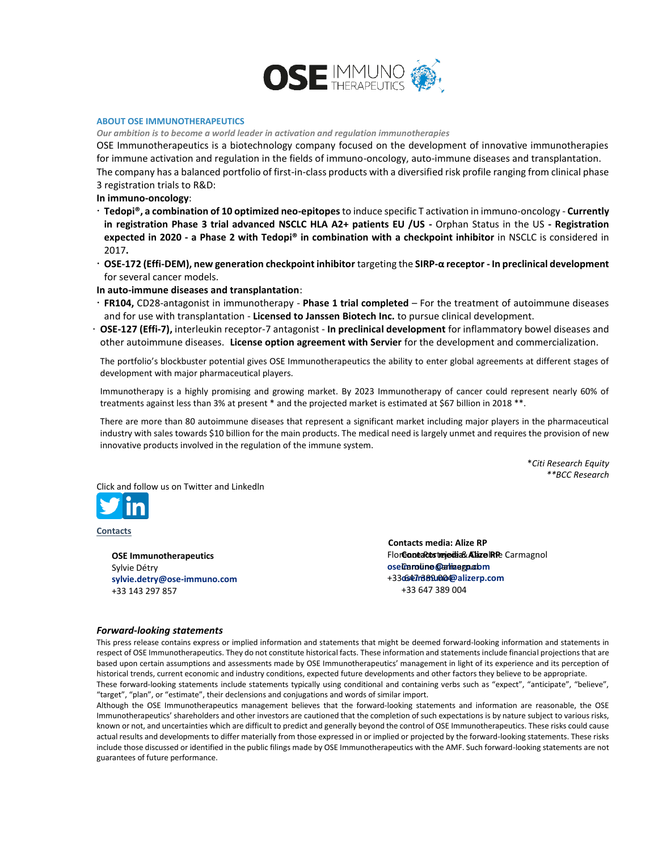

## **ABOUT OSE IMMUNOTHERAPEUTICS**

*Our ambition is to become a world leader in activation and regulation immunotherapies*

OSE Immunotherapeutics is a biotechnology company focused on the development of innovative immunotherapies for immune activation and regulation in the fields of immuno-oncology, auto-immune diseases and transplantation. The company has a balanced portfolio of first-in-class products with a diversified risk profile ranging from clinical phase 3 registration trials to R&D:

**In immuno-oncology**:

- **Tedopi®, a combination of 10 optimized neo-epitopes** to induce specific T activation in immuno-oncology **Currently in registration Phase 3 trial advanced NSCLC HLA A2+ patients EU /US -** Orphan Status in the US **- Registration expected in 2020 - a Phase 2 with Tedopi® in combination with a checkpoint inhibitor** in NSCLC is considered in 2017**.**
- **OSE-172 (Effi-DEM), new generation checkpoint inhibitor** targeting the **SIRP-α receptor - In preclinical development**  for several cancer models.

**In auto-immune diseases and transplantation**:

- **FR104,** CD28-antagonist in immunotherapy **Phase 1 trial completed** For the treatment of autoimmune diseases and for use with transplantation - **Licensed to Janssen Biotech Inc.** to pursue clinical development.
- **OSE-127 (Effi-7),** interleukin receptor-7 antagonist **In preclinical development** for inflammatory bowel diseases and other autoimmune diseases. **License option agreement with Servier** for the development and commercialization.

The portfolio's blockbuster potential gives OSE Immunotherapeutics the ability to enter global agreements at different stages of development with major pharmaceutical players.

Immunotherapy is a highly promising and growing market. By 2023 Immunotherapy of cancer could represent nearly 60% of treatments against less than 3% at present \* and the projected market is estimated at \$67 billion in 2018 \*\*.

There are more than 80 autoimmune diseases that represent a significant market including major players in the pharmaceutical industry with sales towards \$10 billion for the main products. The medical need is largely unmet and requires the provision of new innovative products involved in the regulation of the immune system.

> \**Citi Research Equity \*\*BCC Research*

[Click a](https://twitter.com/OSEIMMUNO)[nd follo](https://www.linkedin.com/company/10929673)w us on Twitter and Linkedln



**Contacts**

**OSE Immunotherapeutics**  Sylvie Détry **[sylvie.detry@ose-immuno.com](mailto:sylvie.detry@ose-immuno.com)** +33 143 297 857

**Contacts media: Alize RP** Flore**coneacostejedia& Alize IRP**e Carmagnol oseiCaroline Carliaegnolom +33 647 389 004 **[oseimmuno@alizerp.com](mailto:oseimmuno@alizerp.com)** +33 647 389 004

## *Forward-looking statements*

This press release contains express or implied information and statements that might be deemed forward-looking information and statements in respect of OSE Immunotherapeutics. They do not constitute historical facts. These information and statements include financial projections that are based upon certain assumptions and assessments made by OSE Immunotherapeutics' management in light of its experience and its perception of historical trends, current economic and industry conditions, expected future developments and other factors they believe to be appropriate. These forward-looking statements include statements typically using conditional and containing verbs such as "expect", "anticipate", "believe", "target", "plan", or "estimate", their declensions and conjugations and words of similar import.

Although the OSE Immunotherapeutics management believes that the forward-looking statements and information are reasonable, the OSE Immunotherapeutics' shareholders and other investors are cautioned that the completion of such expectations is by nature subject to various risks, known or not, and uncertainties which are difficult to predict and generally beyond the control of OSE Immunotherapeutics. These risks could cause actual results and developments to differ materially from those expressed in or implied or projected by the forward-looking statements. These risks include those discussed or identified in the public filings made by OSE Immunotherapeutics with the AMF. Such forward-looking statements are not guarantees of future performance.